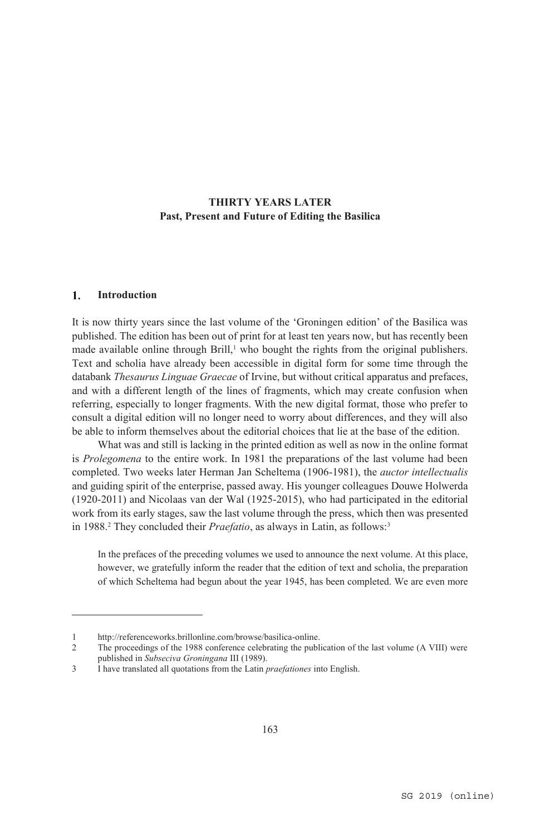# **THIRTY YEARS LATER Past, Present and Future of Editing the Basilica**

#### $\mathbf{1}$ . **Introduction**

 $\overline{a}$ 

It is now thirty years since the last volume of the 'Groningen edition' of the Basilica was published. The edition has been out of print for at least ten years now, but has recently been made available online through Brill, $\frac{1}{2}$  who bought the rights from the original publishers. Text and scholia have already been accessible in digital form for some time through the databank *Thesaurus Linguae Graecae* of Irvine, but without critical apparatus and prefaces, and with a different length of the lines of fragments, which may create confusion when referring, especially to longer fragments. With the new digital format, those who prefer to consult a digital edition will no longer need to worry about differences, and they will also be able to inform themselves about the editorial choices that lie at the base of the edition.

What was and still is lacking in the printed edition as well as now in the online format is *Prolegomena* to the entire work. In 1981 the preparations of the last volume had been completed. Two weeks later Herman Jan Scheltema (1906-1981), the *auctor intellectualis* and guiding spirit of the enterprise, passed away. His younger colleagues Douwe Holwerda (1920-2011) and Nicolaas van der Wal (1925-2015), who had participated in the editorial work from its early stages, saw the last volume through the press, which then was presented in 1988.<sup>2</sup> They concluded their *Praefatio*, as always in Latin, as follows:<sup>3</sup>

In the prefaces of the preceding volumes we used to announce the next volume. At this place, however, we gratefully inform the reader that the edition of text and scholia, the preparation of which Scheltema had begun about the year 1945, has been completed. We are even more

<sup>1</sup> http://referenceworks.brillonline.com/browse/basilica-online.<br>2 The proceedings of the 1988 conference celebrating the publ

<sup>2</sup> The proceedings of the 1988 conference celebrating the publication of the last volume (A VIII) were published in *Subseciva Groningana* III (1989).

<sup>3</sup> I have translated all quotations from the Latin *praefationes* into English.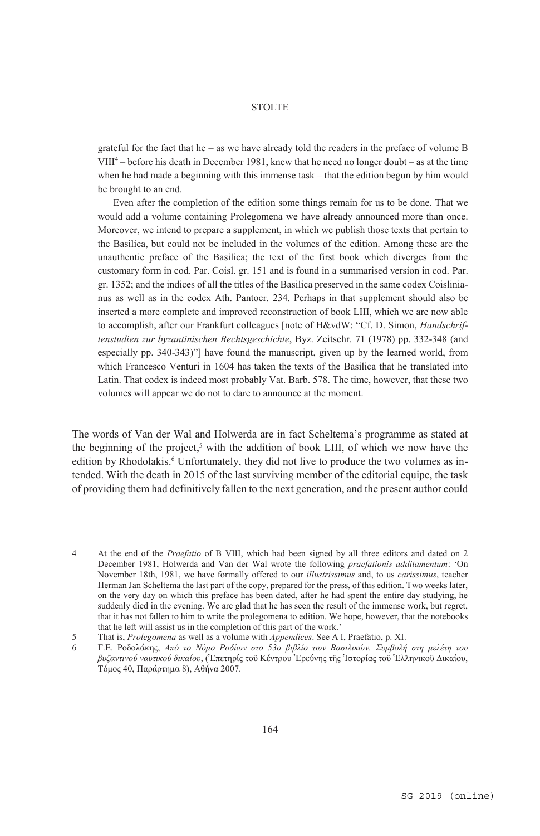grateful for the fact that he – as we have already told the readers in the preface of volume  $B$ VIII4 – before his death in December 1981, knew that he need no longer doubt – as at the time when he had made a beginning with this immense task – that the edition begun by him would be brought to an end.

 Even after the completion of the edition some things remain for us to be done. That we would add a volume containing Prolegomena we have already announced more than once. Moreover, we intend to prepare a supplement, in which we publish those texts that pertain to the Basilica, but could not be included in the volumes of the edition. Among these are the unauthentic preface of the Basilica; the text of the first book which diverges from the customary form in cod. Par. Coisl. gr. 151 and is found in a summarised version in cod. Par. gr. 1352; and the indices of all the titles of the Basilica preserved in the same codex Coislinianus as well as in the codex Ath. Pantocr. 234. Perhaps in that supplement should also be inserted a more complete and improved reconstruction of book LIII, which we are now able to accomplish, after our Frankfurt colleagues [note of H&vdW: "Cf. D. Simon, *Handschriftenstudien zur byzantinischen Rechtsgeschichte*, Byz. Zeitschr. 71 (1978) pp. 332-348 (and especially pp. 340-343)"] have found the manuscript, given up by the learned world, from which Francesco Venturi in 1604 has taken the texts of the Basilica that he translated into Latin. That codex is indeed most probably Vat. Barb. 578. The time, however, that these two volumes will appear we do not to dare to announce at the moment.

The words of Van der Wal and Holwerda are in fact Scheltema's programme as stated at the beginning of the project, $5$  with the addition of book LIII, of which we now have the edition by Rhodolakis.<sup>6</sup> Unfortunately, they did not live to produce the two volumes as intended. With the death in 2015 of the last surviving member of the editorial equipe, the task of providing them had definitively fallen to the next generation, and the present author could

<sup>4</sup> At the end of the *Praefatio* of B VIII, which had been signed by all three editors and dated on 2 December 1981, Holwerda and Van der Wal wrote the following *praefationis additamentum*: 'On November 18th, 1981, we have formally offered to our *illustrissimus* and, to us *carissimus*, teacher Herman Jan Scheltema the last part of the copy, prepared for the press, of this edition. Two weeks later, on the very day on which this preface has been dated, after he had spent the entire day studying, he suddenly died in the evening. We are glad that he has seen the result of the immense work, but regret, that it has not fallen to him to write the prolegomena to edition. We hope, however, that the notebooks that he left will assist us in the completion of this part of the work.'

<sup>5</sup> That is, *Prolegomena* as well as a volume with *Appendices*. See A I, Praefatio, p. XI.

<sup>6</sup> Γ.Ε. Ροδολάκης, *Από το Νόμο Ροδίων στο 53ο βιβλίο των Βασιλικών. Συμβολή στη μελέτη του βυζαντινού ναυτικού δικαίου*, (Ἐπετηρίς τοῦ Κέντρου Ἐρεύνης τῆς Ἱστορίας τοῦ Ἑλληνικοῦ Δικαίου, Τόμος 40, Παράρτημα 8), Αθήνα 2007.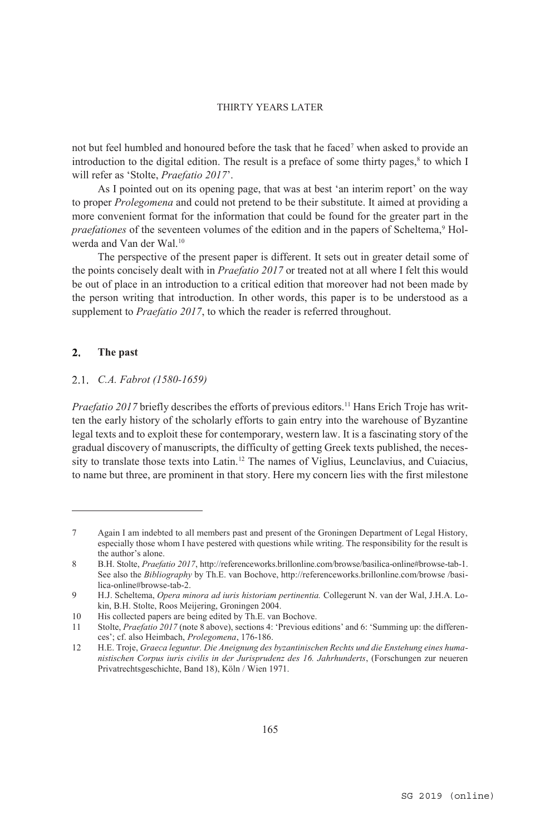not but feel humbled and honoured before the task that he faced<sup>7</sup> when asked to provide an introduction to the digital edition. The result is a preface of some thirty pages, $\frac{8}{3}$  to which I will refer as 'Stolte, *Praefatio 2017*'.

As I pointed out on its opening page, that was at best 'an interim report' on the way to proper *Prolegomena* and could not pretend to be their substitute. It aimed at providing a more convenient format for the information that could be found for the greater part in the *praefationes* of the seventeen volumes of the edition and in the papers of Scheltema,<sup>9</sup> Holwerda and Van der Wal.<sup>10</sup>

The perspective of the present paper is different. It sets out in greater detail some of the points concisely dealt with in *Praefatio 2017* or treated not at all where I felt this would be out of place in an introduction to a critical edition that moreover had not been made by the person writing that introduction. In other words, this paper is to be understood as a supplement to *Praefatio 2017*, to which the reader is referred throughout.

#### $2.$ **The past**

 $\overline{a}$ 

#### *C.A. Fabrot (1580-1659)*

*Praefatio 2017* briefly describes the efforts of previous editors.<sup>11</sup> Hans Erich Troje has written the early history of the scholarly efforts to gain entry into the warehouse of Byzantine legal texts and to exploit these for contemporary, western law. It is a fascinating story of the gradual discovery of manuscripts, the difficulty of getting Greek texts published, the necessity to translate those texts into Latin.12 The names of Viglius, Leunclavius, and Cuiacius, to name but three, are prominent in that story. Here my concern lies with the first milestone

<sup>7</sup> Again I am indebted to all members past and present of the Groningen Department of Legal History, especially those whom I have pestered with questions while writing. The responsibility for the result is the author's alone.

<sup>8</sup> B.H. Stolte, *Praefatio 2017*, http://referenceworks.brillonline.com/browse/basilica-online#browse-tab-1. See also the *Bibliography* by Th.E. van Bochove, http://referenceworks.brillonline.com/browse /basilica-online#browse-tab-2.

<sup>9</sup> H.J. Scheltema, *Opera minora ad iuris historiam pertinentia.* Collegerunt N. van der Wal, J.H.A. Lokin, B.H. Stolte, Roos Meijering, Groningen 2004.

<sup>10</sup> His collected papers are being edited by Th.E. van Bochove.

<sup>11</sup> Stolte, *Praefatio 2017* (note 8 above), sections 4: 'Previous editions' and 6: 'Summing up: the differences'; cf. also Heimbach, *Prolegomena*, 176-186.

<sup>12</sup> H.E. Troje, *Graeca leguntur. Die Aneignung des byzantinischen Rechts und die Enstehung eines humanistischen Corpus iuris civilis in der Jurisprudenz des 16. Jahrhunderts*, (Forschungen zur neueren Privatrechtsgeschichte, Band 18), Köln / Wien 1971.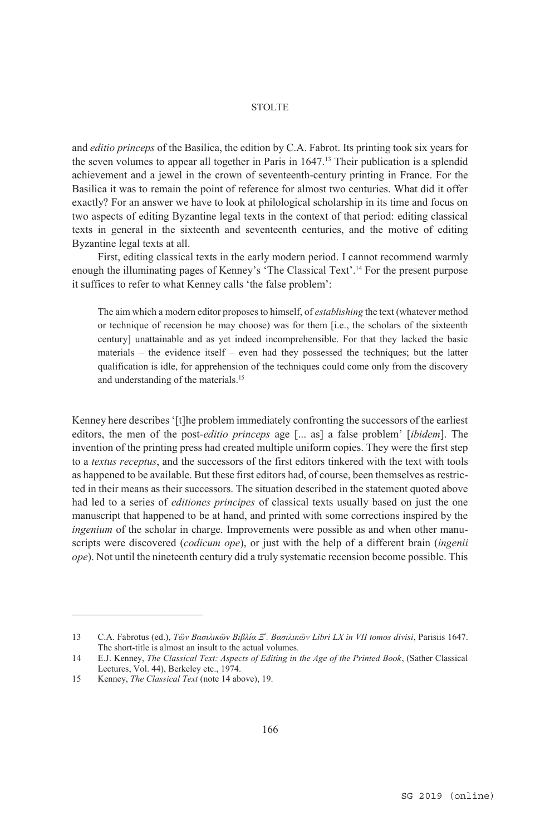and *editio princeps* of the Basilica, the edition by C.A. Fabrot. Its printing took six years for the seven volumes to appear all together in Paris in 1647.13 Their publication is a splendid achievement and a jewel in the crown of seventeenth-century printing in France. For the Basilica it was to remain the point of reference for almost two centuries. What did it offer exactly? For an answer we have to look at philological scholarship in its time and focus on two aspects of editing Byzantine legal texts in the context of that period: editing classical texts in general in the sixteenth and seventeenth centuries, and the motive of editing Byzantine legal texts at all.

First, editing classical texts in the early modern period. I cannot recommend warmly enough the illuminating pages of Kenney's 'The Classical Text'.14 For the present purpose it suffices to refer to what Kenney calls 'the false problem':

The aim which a modern editor proposes to himself, of *establishing* the text (whatever method or technique of recension he may choose) was for them [i.e., the scholars of the sixteenth century] unattainable and as yet indeed incomprehensible. For that they lacked the basic materials – the evidence itself – even had they possessed the techniques; but the latter qualification is idle, for apprehension of the techniques could come only from the discovery and understanding of the materials.15

Kenney here describes '[t]he problem immediately confronting the successors of the earliest editors, the men of the post-*editio princeps* age [... as] a false problem' [*ibidem*]. The invention of the printing press had created multiple uniform copies. They were the first step to a *textus receptus*, and the successors of the first editors tinkered with the text with tools as happened to be available. But these first editors had, of course, been themselves as restricted in their means as their successors. The situation described in the statement quoted above had led to a series of *editiones principes* of classical texts usually based on just the one manuscript that happened to be at hand, and printed with some corrections inspired by the *ingenium* of the scholar in charge. Improvements were possible as and when other manuscripts were discovered (*codicum ope*), or just with the help of a different brain (*ingenii ope*). Not until the nineteenth century did a truly systematic recension become possible. This

<sup>13</sup> C.A. Fabrotus (ed.), *Τῶν Βασιλικῶν Βιβλία Ξ´. Βασιλικῶν Libri LX in VII tomos divisi*, Parisiis 1647. The short-title is almost an insult to the actual volumes.

<sup>14</sup> E.J. Kenney, *The Classical Text: Aspects of Editing in the Age of the Printed Book*, (Sather Classical Lectures, Vol. 44), Berkeley etc., 1974.

<sup>15</sup> Kenney, *The Classical Text* (note 14 above), 19.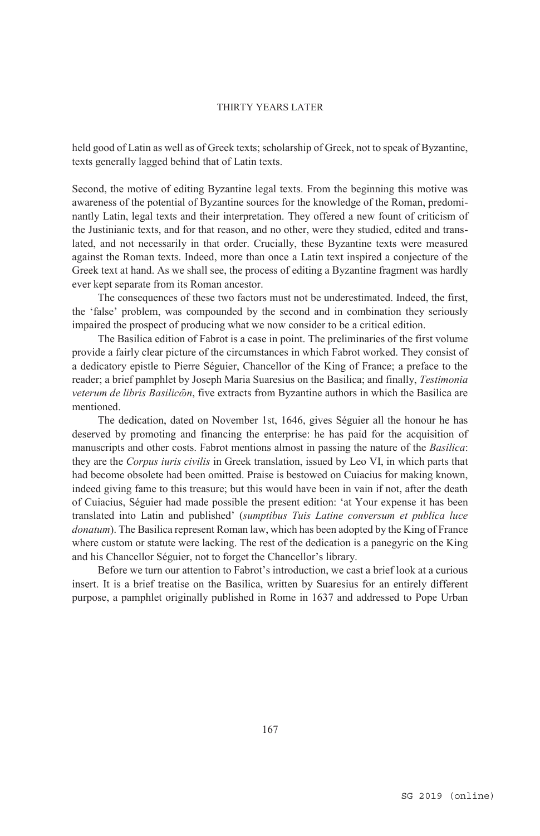held good of Latin as well as of Greek texts; scholarship of Greek, not to speak of Byzantine, texts generally lagged behind that of Latin texts.

Second, the motive of editing Byzantine legal texts. From the beginning this motive was awareness of the potential of Byzantine sources for the knowledge of the Roman, predominantly Latin, legal texts and their interpretation. They offered a new fount of criticism of the Justinianic texts, and for that reason, and no other, were they studied, edited and translated, and not necessarily in that order. Crucially, these Byzantine texts were measured against the Roman texts. Indeed, more than once a Latin text inspired a conjecture of the Greek text at hand. As we shall see, the process of editing a Byzantine fragment was hardly ever kept separate from its Roman ancestor.

The consequences of these two factors must not be underestimated. Indeed, the first, the 'false' problem, was compounded by the second and in combination they seriously impaired the prospect of producing what we now consider to be a critical edition.

The Basilica edition of Fabrot is a case in point. The preliminaries of the first volume provide a fairly clear picture of the circumstances in which Fabrot worked. They consist of a dedicatory epistle to Pierre Séguier, Chancellor of the King of France; a preface to the reader; a brief pamphlet by Joseph Maria Suaresius on the Basilica; and finally, *Testimonia veterum de libris Basilicῶn*, five extracts from Byzantine authors in which the Basilica are mentioned.

The dedication, dated on November 1st, 1646, gives Séguier all the honour he has deserved by promoting and financing the enterprise: he has paid for the acquisition of manuscripts and other costs. Fabrot mentions almost in passing the nature of the *Basilica*: they are the *Corpus iuris civilis* in Greek translation, issued by Leo VI, in which parts that had become obsolete had been omitted. Praise is bestowed on Cuiacius for making known, indeed giving fame to this treasure; but this would have been in vain if not, after the death of Cuiacius, Séguier had made possible the present edition: 'at Your expense it has been translated into Latin and published' (*sumptibus Tuis Latine conversum et publica luce donatum*). The Basilica represent Roman law, which has been adopted by the King of France where custom or statute were lacking. The rest of the dedication is a panegyric on the King and his Chancellor Séguier, not to forget the Chancellor's library.

Before we turn our attention to Fabrot's introduction, we cast a brief look at a curious insert. It is a brief treatise on the Basilica, written by Suaresius for an entirely different purpose, a pamphlet originally published in Rome in 1637 and addressed to Pope Urban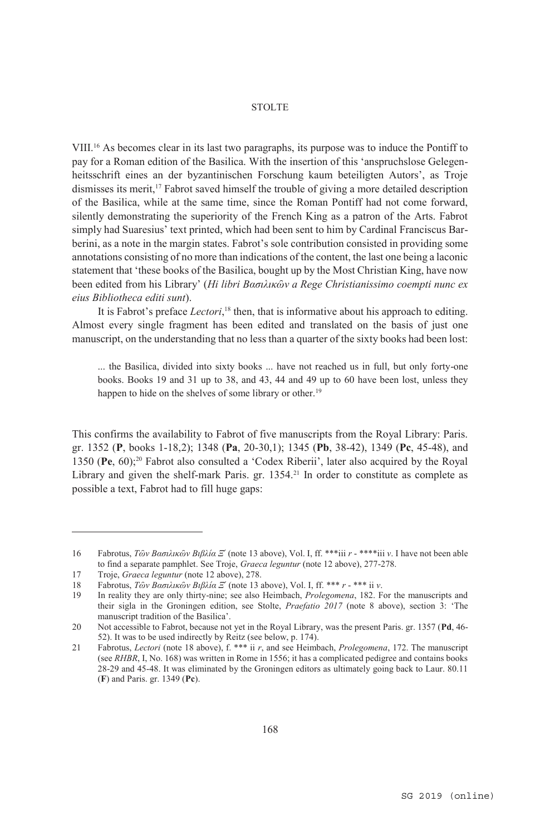VIII.16 As becomes clear in its last two paragraphs, its purpose was to induce the Pontiff to pay for a Roman edition of the Basilica. With the insertion of this 'anspruchslose Gelegenheitsschrift eines an der byzantinischen Forschung kaum beteiligten Autors', as Troje dismisses its merit,17 Fabrot saved himself the trouble of giving a more detailed description of the Basilica, while at the same time, since the Roman Pontiff had not come forward, silently demonstrating the superiority of the French King as a patron of the Arts. Fabrot simply had Suaresius' text printed, which had been sent to him by Cardinal Franciscus Barberini, as a note in the margin states. Fabrot's sole contribution consisted in providing some annotations consisting of no more than indications of the content, the last one being a laconic statement that 'these books of the Basilica, bought up by the Most Christian King, have now been edited from his Library' (*Hi libri Βασιλικῶν a Rege Christianissimo coempti nunc ex eius Bibliotheca editi sunt*).

It is Fabrot's preface *Lectori*,<sup>18</sup> then, that is informative about his approach to editing. Almost every single fragment has been edited and translated on the basis of just one manuscript, on the understanding that no less than a quarter of the sixty books had been lost:

... the Basilica, divided into sixty books ... have not reached us in full, but only forty-one books. Books 19 and 31 up to 38, and 43, 44 and 49 up to 60 have been lost, unless they happen to hide on the shelves of some library or other.<sup>19</sup>

This confirms the availability to Fabrot of five manuscripts from the Royal Library: Paris. gr. 1352 (**P**, books 1-18,2); 1348 (**Pa**, 20-30,1); 1345 (**Pb**, 38-42), 1349 (**Pc**, 45-48), and 1350 (**Pe**, 60);20 Fabrot also consulted a 'Codex Riberii', later also acquired by the Royal Library and given the shelf-mark Paris. gr.  $1354<sup>21</sup>$  In order to constitute as complete as possible a text, Fabrot had to fill huge gaps:

<sup>16</sup> Fabrotus, *Τῶν Βασιλικῶν Βιβλία Ξ´* (note 13 above), Vol. I, ff. \*\*\*iii *r* - \*\*\*\*iii *v*. I have not been able to find a separate pamphlet. See Troje, *Graeca leguntur* (note 12 above), 277-278.

<sup>17</sup> Troje, *Graeca leguntur* (note 12 above), 278.

<sup>18</sup> Fabrotus, *Τῶν Βασιλικῶν Βιβλία Ξ´* (note 13 above), Vol. I, ff. \*\*\* *r* - \*\*\* ii *v*.

<sup>19</sup> In reality they are only thirty-nine; see also Heimbach, *Prolegomena*, 182. For the manuscripts and their sigla in the Groningen edition, see Stolte, *Praefatio 2017* (note 8 above), section 3: 'The manuscript tradition of the Basilica'.

<sup>20</sup> Not accessible to Fabrot, because not yet in the Royal Library, was the present Paris. gr. 1357 (**Pd**, 46- 52). It was to be used indirectly by Reitz (see below, p. 174).

<sup>21</sup> Fabrotus, *Lectori* (note 18 above), f. \*\*\* ii *r*, and see Heimbach, *Prolegomena*, 172. The manuscript (see *RHBR*, I, No. 168) was written in Rome in 1556; it has a complicated pedigree and contains books 28-29 and 45-48. It was eliminated by the Groningen editors as ultimately going back to Laur. 80.11 (**F**) and Paris. gr. 1349 (**Pc**).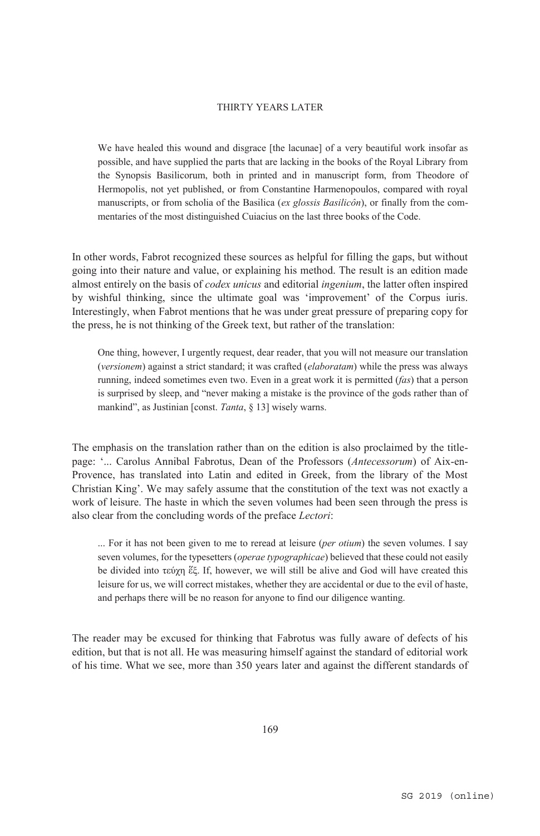We have healed this wound and disgrace [the lacunae] of a very beautiful work insofar as possible, and have supplied the parts that are lacking in the books of the Royal Library from the Synopsis Basilicorum, both in printed and in manuscript form, from Theodore of Hermopolis, not yet published, or from Constantine Harmenopoulos, compared with royal manuscripts, or from scholia of the Basilica (*ex glossis Basilicôn*), or finally from the commentaries of the most distinguished Cuiacius on the last three books of the Code.

In other words, Fabrot recognized these sources as helpful for filling the gaps, but without going into their nature and value, or explaining his method. The result is an edition made almost entirely on the basis of *codex unicus* and editorial *ingenium*, the latter often inspired by wishful thinking, since the ultimate goal was 'improvement' of the Corpus iuris. Interestingly, when Fabrot mentions that he was under great pressure of preparing copy for the press, he is not thinking of the Greek text, but rather of the translation:

One thing, however, I urgently request, dear reader, that you will not measure our translation (*versionem*) against a strict standard; it was crafted (*elaboratam*) while the press was always running, indeed sometimes even two. Even in a great work it is permitted (*fas*) that a person is surprised by sleep, and "never making a mistake is the province of the gods rather than of mankind", as Justinian [const. *Tanta*, § 13] wisely warns.

The emphasis on the translation rather than on the edition is also proclaimed by the titlepage: '... Carolus Annibal Fabrotus, Dean of the Professors (*Antecessorum*) of Aix-en-Provence, has translated into Latin and edited in Greek, from the library of the Most Christian King'. We may safely assume that the constitution of the text was not exactly a work of leisure. The haste in which the seven volumes had been seen through the press is also clear from the concluding words of the preface *Lectori*:

... For it has not been given to me to reread at leisure (*per otium*) the seven volumes. I say seven volumes, for the typesetters (*operae typographicae*) believed that these could not easily be divided into τεύχη ἕξ. If, however, we will still be alive and God will have created this leisure for us, we will correct mistakes, whether they are accidental or due to the evil of haste, and perhaps there will be no reason for anyone to find our diligence wanting.

The reader may be excused for thinking that Fabrotus was fully aware of defects of his edition, but that is not all. He was measuring himself against the standard of editorial work of his time. What we see, more than 350 years later and against the different standards of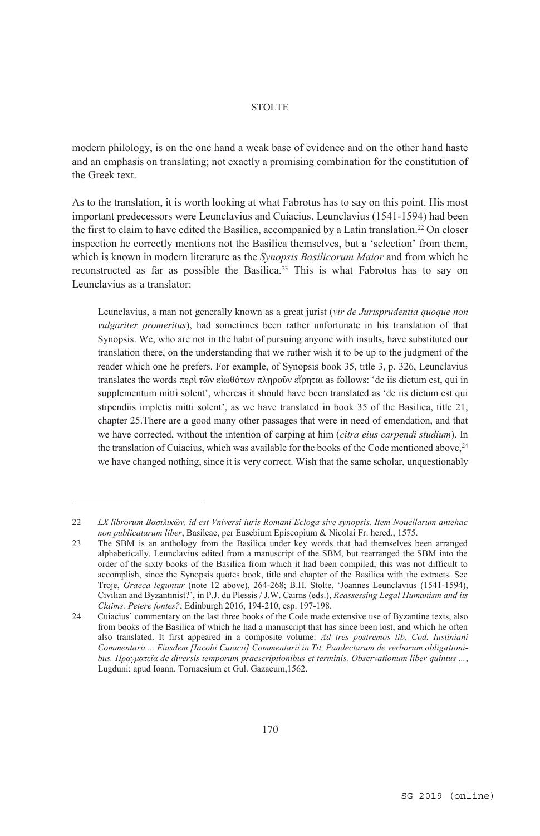modern philology, is on the one hand a weak base of evidence and on the other hand haste and an emphasis on translating; not exactly a promising combination for the constitution of the Greek text.

As to the translation, it is worth looking at what Fabrotus has to say on this point. His most important predecessors were Leunclavius and Cuiacius. Leunclavius (1541-1594) had been the first to claim to have edited the Basilica, accompanied by a Latin translation.22 On closer inspection he correctly mentions not the Basilica themselves, but a 'selection' from them, which is known in modern literature as the *Synopsis Basilicorum Maior* and from which he reconstructed as far as possible the Basilica.23 This is what Fabrotus has to say on Leunclavius as a translator:

Leunclavius, a man not generally known as a great jurist (*vir de Jurisprudentia quoque non vulgariter promeritus*), had sometimes been rather unfortunate in his translation of that Synopsis. We, who are not in the habit of pursuing anyone with insults, have substituted our translation there, on the understanding that we rather wish it to be up to the judgment of the reader which one he prefers. For example, of Synopsis book 35, title 3, p. 326, Leunclavius translates the words περἰ τῶν εἰωθότων πληροῦν εἴρηται as follows: 'de iis dictum est, qui in supplementum mitti solent', whereas it should have been translated as 'de iis dictum est qui stipendiis impletis mitti solent', as we have translated in book 35 of the Basilica, title 21, chapter 25.There are a good many other passages that were in need of emendation, and that we have corrected, without the intention of carping at him (*citra eius carpendi studium*). In the translation of Cuiacius, which was available for the books of the Code mentioned above,  $24$ we have changed nothing, since it is very correct. Wish that the same scholar, unquestionably

<sup>22</sup> *LX librorum Βασιλικῶν, id est Vniversi iuris Romani Ecloga sive synopsis. Item Nouellarum antehac non publicatarum liber*, Basileae, per Eusebium Episcopium & Nicolai Fr. hered., 1575.

<sup>23</sup> The SBM is an anthology from the Basilica under key words that had themselves been arranged alphabetically. Leunclavius edited from a manuscript of the SBM, but rearranged the SBM into the order of the sixty books of the Basilica from which it had been compiled; this was not difficult to accomplish, since the Synopsis quotes book, title and chapter of the Basilica with the extracts. See Troje, *Graeca leguntur* (note 12 above), 264-268; B.H. Stolte, 'Joannes Leunclavius (1541-1594), Civilian and Byzantinist?', in P.J. du Plessis / J.W. Cairns (eds.), *Reassessing Legal Humanism and its Claims. Petere fontes?*, Edinburgh 2016, 194-210, esp. 197-198.

<sup>24</sup> Cuiacius' commentary on the last three books of the Code made extensive use of Byzantine texts, also from books of the Basilica of which he had a manuscript that has since been lost, and which he often also translated. It first appeared in a composite volume: *Ad tres postremos lib. Cod. Iustiniani Commentarii ... Eiusdem [Iacobi Cuiacii] Commentarii in Tit. Pandectarum de verborum obligationibus. Πραγματεῖα de diversis temporum praescriptionibus et terminis. Observationum liber quintus ...*, Lugduni: apud Ioann. Tornaesium et Gul. Gazaeum,1562.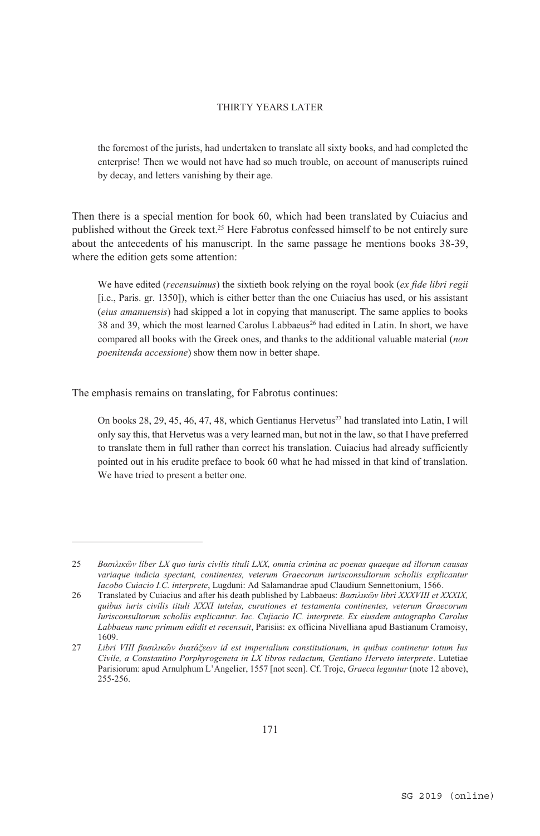the foremost of the jurists, had undertaken to translate all sixty books, and had completed the enterprise! Then we would not have had so much trouble, on account of manuscripts ruined by decay, and letters vanishing by their age.

Then there is a special mention for book 60, which had been translated by Cuiacius and published without the Greek text.25 Here Fabrotus confessed himself to be not entirely sure about the antecedents of his manuscript. In the same passage he mentions books 38-39, where the edition gets some attention:

We have edited (*recensuimus*) the sixtieth book relying on the royal book (*ex fide libri regii* [i.e., Paris. gr. 1350]), which is either better than the one Cuiacius has used, or his assistant (*eius amanuensis*) had skipped a lot in copying that manuscript. The same applies to books 38 and 39, which the most learned Carolus Labbaeus<sup>26</sup> had edited in Latin. In short, we have compared all books with the Greek ones, and thanks to the additional valuable material (*non poenitenda accessione*) show them now in better shape.

The emphasis remains on translating, for Fabrotus continues:

 $\overline{a}$ 

On books  $28, 29, 45, 46, 47, 48$ , which Gentianus Hervetus<sup>27</sup> had translated into Latin, I will only say this, that Hervetus was a very learned man, but not in the law, so that I have preferred to translate them in full rather than correct his translation. Cuiacius had already sufficiently pointed out in his erudite preface to book 60 what he had missed in that kind of translation. We have tried to present a better one.

<sup>25</sup> *Βασιλικῶν liber LX quo iuris civilis tituli LXX, omnia crimina ac poenas quaeque ad illorum causas variaque iudicia spectant, continentes, veterum Graecorum iurisconsultorum scholiis explicantur Iacobo Cuiacio I.C. interprete*, Lugduni: Ad Salamandrae apud Claudium Sennettonium, 1566.

<sup>26</sup> Translated by Cuiacius and after his death published by Labbaeus: *Βασιλικῶν libri XXXVIII et XXXIX, quibus iuris civilis tituli XXXI tutelas, curationes et testamenta continentes, veterum Graecorum Iurisconsultorum scholiis explicantur. Iac. Cujiacio IC. interprete. Ex eiusdem autographo Carolus Labbaeus nunc primum edidit et recensuit*, Parisiis: ex officina Nivelliana apud Bastianum Cramoisy, 1609.

<sup>27</sup> *Libri VIII βασιλικῶν διατάξεων id est imperialium constitutionum, in quibus continetur totum Ius Civile, a Constantino Porphyrogeneta in LX libros redactum, Gentiano Herveto interprete*. Lutetiae Parisiorum: apud Arnulphum L'Angelier, 1557 [not seen]. Cf. Troje, *Graeca leguntur* (note 12 above), 255-256.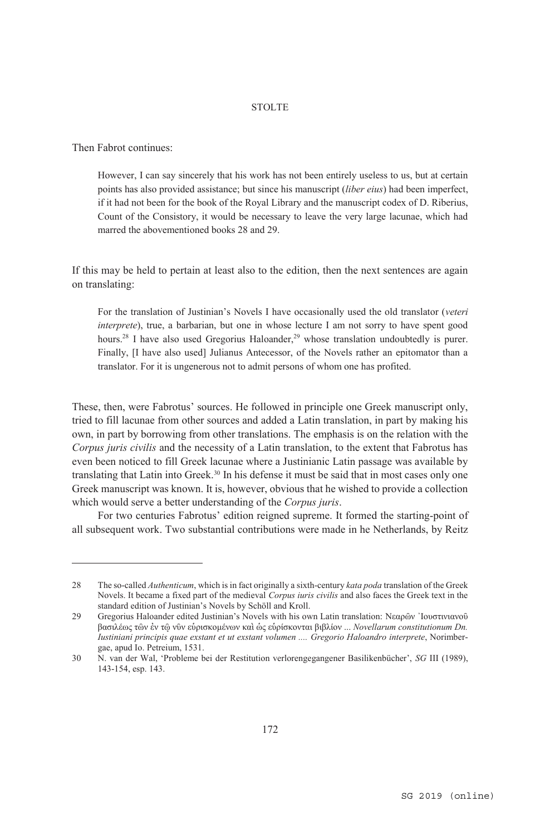Then Fabrot continues:

 $\overline{a}$ 

However, I can say sincerely that his work has not been entirely useless to us, but at certain points has also provided assistance; but since his manuscript (*liber eius*) had been imperfect, if it had not been for the book of the Royal Library and the manuscript codex of D. Riberius, Count of the Consistory, it would be necessary to leave the very large lacunae, which had marred the abovementioned books 28 and 29.

If this may be held to pertain at least also to the edition, then the next sentences are again on translating:

For the translation of Justinian's Novels I have occasionally used the old translator (*veteri interprete*), true, a barbarian, but one in whose lecture I am not sorry to have spent good hours.<sup>28</sup> I have also used Gregorius Haloander,<sup>29</sup> whose translation undoubtedly is purer. Finally, [I have also used] Julianus Antecessor, of the Novels rather an epitomator than a translator. For it is ungenerous not to admit persons of whom one has profited.

These, then, were Fabrotus' sources. He followed in principle one Greek manuscript only, tried to fill lacunae from other sources and added a Latin translation, in part by making his own, in part by borrowing from other translations. The emphasis is on the relation with the *Corpus juris civilis* and the necessity of a Latin translation, to the extent that Fabrotus has even been noticed to fill Greek lacunae where a Justinianic Latin passage was available by translating that Latin into Greek.30 In his defense it must be said that in most cases only one Greek manuscript was known. It is, however, obvious that he wished to provide a collection which would serve a better understanding of the *Corpus juris*.

For two centuries Fabrotus' edition reigned supreme. It formed the starting-point of all subsequent work. Two substantial contributions were made in he Netherlands, by Reitz

<sup>28</sup> The so-called *Authenticum*, which is in fact originally a sixth-century *kata poda* translation of the Greek Novels. It became a fixed part of the medieval *Corpus iuris civilis* and also faces the Greek text in the standard edition of Justinian's Novels by Schöll and Kroll.

<sup>29</sup> Gregorius Haloander edited Justinian's Novels with his own Latin translation: Νεαρῶν ᾽Ιουστινιανοῦ βασιλέως τῶν ἐν τῷ νῦν εὑρισκομένων καὶ ὡς εὑρίσκονται βιβλίον ... *Novellarum constitutionum Dn. Iustiniani principis quae exstant et ut exstant volumen .... Gregorio Haloandro interprete*, Norimbergae, apud Io. Petreium, 1531.

<sup>30</sup> N. van der Wal, 'Probleme bei der Restitution verlorengegangener Basilikenbücher', *SG* III (1989), 143-154, esp. 143.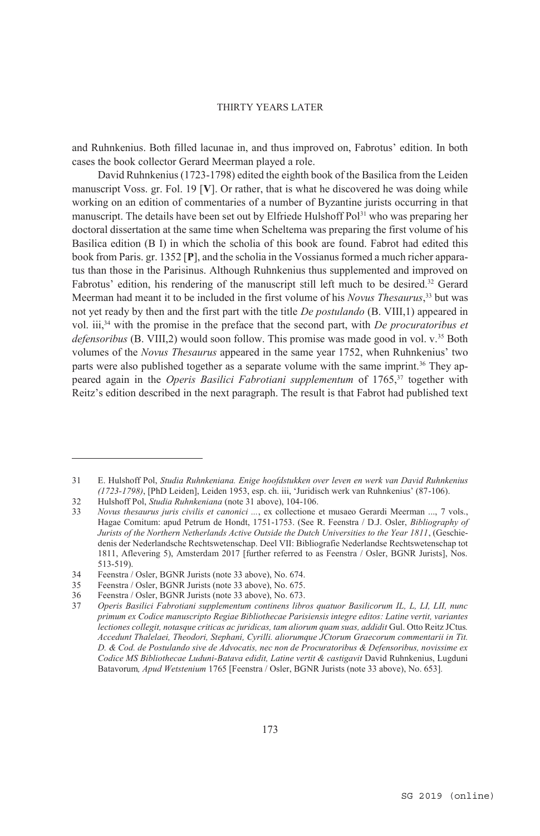and Ruhnkenius. Both filled lacunae in, and thus improved on, Fabrotus' edition. In both cases the book collector Gerard Meerman played a role.

David Ruhnkenius (1723-1798) edited the eighth book of the Basilica from the Leiden manuscript Voss. gr. Fol. 19 [**V**]. Or rather, that is what he discovered he was doing while working on an edition of commentaries of a number of Byzantine jurists occurring in that manuscript. The details have been set out by Elfriede Hulshoff Pol<sup>31</sup> who was preparing her doctoral dissertation at the same time when Scheltema was preparing the first volume of his Basilica edition (B I) in which the scholia of this book are found. Fabrot had edited this book from Paris. gr. 1352 [**P**], and the scholia in the Vossianus formed a much richer apparatus than those in the Parisinus. Although Ruhnkenius thus supplemented and improved on Fabrotus' edition, his rendering of the manuscript still left much to be desired.32 Gerard Meerman had meant it to be included in the first volume of his *Novus Thesaurus*, 33 but was not yet ready by then and the first part with the title *De postulando* (B. VIII,1) appeared in vol. iii,34 with the promise in the preface that the second part, with *De procuratoribus et defensoribus* (B. VIII,2) would soon follow. This promise was made good in vol. v.35 Both volumes of the *Novus Thesaurus* appeared in the same year 1752, when Ruhnkenius' two parts were also published together as a separate volume with the same imprint.<sup>36</sup> They appeared again in the *Operis Basilici Fabrotiani supplementum* of 1765,37 together with Reitz's edition described in the next paragraph. The result is that Fabrot had published text

<sup>31</sup> E. Hulshoff Pol, *Studia Ruhnkeniana. Enige hoofdstukken over leven en werk van David Ruhnkenius (1723-1798)*, [PhD Leiden], Leiden 1953, esp. ch. iii, 'Juridisch werk van Ruhnkenius' (87-106).

<sup>32</sup> Hulshoff Pol, *Studia Ruhnkeniana* (note 31 above), 104-106.

<sup>33</sup> *Novus thesaurus juris civilis et canonici ...*, ex collectione et musaeo Gerardi Meerman ..., 7 vols., Hagae Comitum: apud Petrum de Hondt, 1751-1753. (See R. Feenstra / D.J. Osler, *Bibliography of Jurists of the Northern Netherlands Active Outside the Dutch Universities to the Year 1811*, (Geschiedenis der Nederlandsche Rechtswetenschap. Deel VII: Bibliografie Nederlandse Rechtswetenschap tot 1811, Aflevering 5), Amsterdam 2017 [further referred to as Feenstra / Osler, BGNR Jurists], Nos. 513-519).

<sup>34</sup> Feenstra / Osler, BGNR Jurists (note 33 above), No. 674.

<sup>35</sup> Feenstra / Osler, BGNR Jurists (note 33 above), No. 675.

<sup>36</sup> Feenstra / Osler, BGNR Jurists (note 33 above), No. 673.

<sup>37</sup> *Operis Basilici Fabrotiani supplementum continens libros quatuor Basilicorum IL, L, LI, LII, nunc primum ex Codice manuscripto Regiae Bibliothecae Parisiensis integre editos: Latine vertit, variantes lectiones collegit, notasque criticas ac juridicas, tam aliorum quam suas, addidit* Gul. Otto Reitz JCtus*. Accedunt Thalelaei, Theodori, Stephani, Cyrilli. aliorumque JCtorum Graecorum commentarii in Tit. D. & Cod. de Postulando sive de Advocatis, nec non de Procuratoribus & Defensoribus, novissime ex Codice MS Bibliothecae Luduni-Batava edidit, Latine vertit & castigavit* David Ruhnkenius, Lugduni Batavorum*, Apud Wetstenium* 1765 [Feenstra / Osler, BGNR Jurists (note 33 above), No. 653]*.*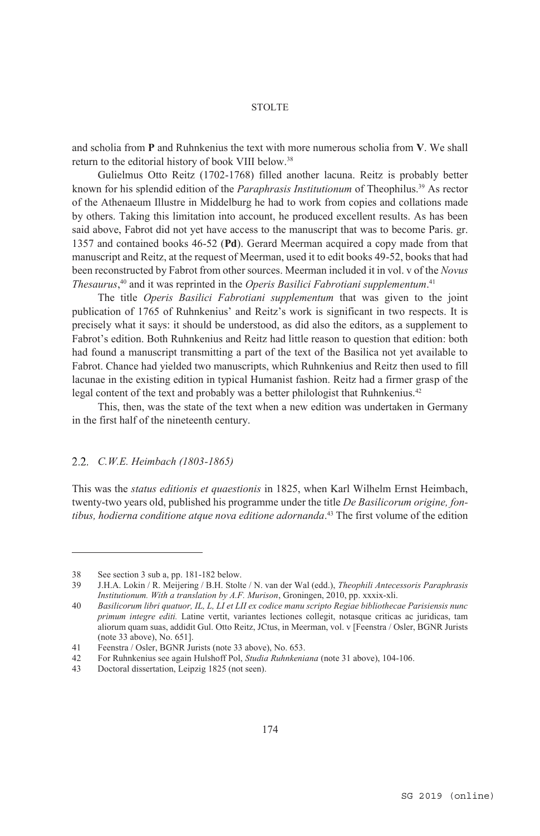and scholia from **P** and Ruhnkenius the text with more numerous scholia from **V**. We shall return to the editorial history of book VIII below.<sup>38</sup>

Gulielmus Otto Reitz (1702-1768) filled another lacuna. Reitz is probably better known for his splendid edition of the *Paraphrasis Institutionum* of Theophilus.39 As rector of the Athenaeum Illustre in Middelburg he had to work from copies and collations made by others. Taking this limitation into account, he produced excellent results. As has been said above, Fabrot did not yet have access to the manuscript that was to become Paris. gr. 1357 and contained books 46-52 (**Pd**). Gerard Meerman acquired a copy made from that manuscript and Reitz, at the request of Meerman, used it to edit books 49-52, books that had been reconstructed by Fabrot from other sources. Meerman included it in vol. v of the *Novus Thesaurus*, 40 and it was reprinted in the *Operis Basilici Fabrotiani supplementum*. 41

The title *Operis Basilici Fabrotiani supplementum* that was given to the joint publication of 1765 of Ruhnkenius' and Reitz's work is significant in two respects. It is precisely what it says: it should be understood, as did also the editors, as a supplement to Fabrot's edition. Both Ruhnkenius and Reitz had little reason to question that edition: both had found a manuscript transmitting a part of the text of the Basilica not yet available to Fabrot. Chance had yielded two manuscripts, which Ruhnkenius and Reitz then used to fill lacunae in the existing edition in typical Humanist fashion. Reitz had a firmer grasp of the legal content of the text and probably was a better philologist that Ruhnkenius.<sup>42</sup>

This, then, was the state of the text when a new edition was undertaken in Germany in the first half of the nineteenth century.

#### *C.W.E. Heimbach (1803-1865)*

This was the *status editionis et quaestionis* in 1825, when Karl Wilhelm Ernst Heimbach, twenty-two years old, published his programme under the title *De Basilicorum origine, fontibus, hodierna conditione atque nova editione adornanda*. 43 The first volume of the edition

 $\overline{a}$ 

43 Doctoral dissertation, Leipzig 1825 (not seen).

<sup>38</sup> See section 3 sub a, pp. 181-182 below.

<sup>39</sup> J.H.A. Lokin / R. Meijering / B.H. Stolte / N. van der Wal (edd.), *Theophili Antecessoris Paraphrasis Institutionum. With a translation by A.F. Murison*, Groningen, 2010, pp. xxxix-xli.

<sup>40</sup> *Basilicorum libri quatuor, IL, L, LI et LII ex codice manu scripto Regiae bibliothecae Parisiensis nunc primum integre editi.* Latine vertit, variantes lectiones collegit, notasque criticas ac juridicas, tam aliorum quam suas, addidit Gul. Otto Reitz, JCtus, in Meerman, vol. v [Feenstra / Osler, BGNR Jurists (note 33 above), No. 651].

<sup>41</sup> Feenstra / Osler, BGNR Jurists (note 33 above), No. 653.<br>42 For Ruhnkenius see again Hulshoff Pol, Studia Ruhnkeni

<sup>42</sup> For Ruhnkenius see again Hulshoff Pol, *Studia Ruhnkeniana* (note 31 above), 104-106.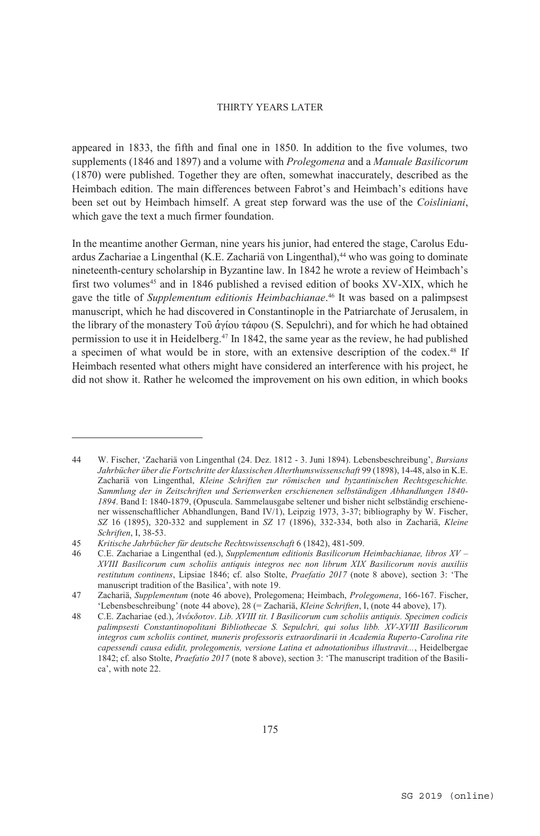appeared in 1833, the fifth and final one in 1850. In addition to the five volumes, two supplements (1846 and 1897) and a volume with *Prolegomena* and a *Manuale Basilicorum* (1870) were published. Together they are often, somewhat inaccurately, described as the Heimbach edition. The main differences between Fabrot's and Heimbach's editions have been set out by Heimbach himself. A great step forward was the use of the *Coisliniani*, which gave the text a much firmer foundation.

In the meantime another German, nine years his junior, had entered the stage, Carolus Eduardus Zachariae a Lingenthal (K.E. Zachariä von Lingenthal),<sup>44</sup> who was going to dominate nineteenth-century scholarship in Byzantine law. In 1842 he wrote a review of Heimbach's first two volumes<sup>45</sup> and in 1846 published a revised edition of books  $XV-XIX$ , which he gave the title of *Supplementum editionis Heimbachianae*. 46 It was based on a palimpsest manuscript, which he had discovered in Constantinople in the Patriarchate of Jerusalem, in the library of the monastery Τοῦ ἁγίου τάφου (S. Sepulchri), and for which he had obtained permission to use it in Heidelberg.47 In 1842, the same year as the review, he had published a specimen of what would be in store, with an extensive description of the codex.48 If Heimbach resented what others might have considered an interference with his project, he did not show it. Rather he welcomed the improvement on his own edition, in which books

<sup>44</sup> W. Fischer, 'Zachariä von Lingenthal (24. Dez. 1812 - 3. Juni 1894). Lebensbeschreibung', *Bursians Jahrbücher über die Fortschritte der klassischen Alterthumswissenschaft* 99 (1898), 14-48, also in K.E. Zachariä von Lingenthal, *Kleine Schriften zur römischen und byzantinischen Rechtsgeschichte. Sammlung der in Zeitschriften und Serienwerken erschienenen selbständigen Abhandlungen 1840- 1894*. Band I: 1840-1879, (Opuscula. Sammelausgabe seltener und bisher nicht selbständig erschienener wissenschaftlicher Abhandlungen, Band IV/1), Leipzig 1973, 3-37; bibliography by W. Fischer, *SZ* 16 (1895), 320-332 and supplement in *SZ* 17 (1896), 332-334, both also in Zachariä, *Kleine Schriften*, I, 38-53.

<sup>45</sup> *Kritische Jahrbücher für deutsche Rechtswissenschaft* 6 (1842), 481-509.

<sup>46</sup> C.E. Zachariae a Lingenthal (ed.), *Supplementum editionis Basilicorum Heimbachianae, libros XV – XVIII Basilicorum cum scholiis antiquis integros nec non librum XIX Basilicorum novis auxiliis restitutum continens*, Lipsiae 1846; cf. also Stolte, *Praefatio 2017* (note 8 above), section 3: 'The manuscript tradition of the Basilica', with note 19.

<sup>47</sup> Zachariä, *Supplementum* (note 46 above), Prolegomena; Heimbach, *Prolegomena*, 166-167. Fischer, 'Lebensbeschreibung' (note 44 above), 28 (= Zachariä, *Kleine Schriften*, I, (note 44 above), 17).

<sup>48</sup> C.E. Zachariae (ed.), *Ἀνέκδοτον*. *Lib. XVIII tit. I Basilicorum cum scholiis antiquis. Specimen codicis palimpsesti Constantinopolitani Bibliothecae S. Sepulchri, qui solus libb. XV-XVIII Basilicorum integros cum scholiis continet, muneris professoris extraordinarii in Academia Ruperto-Carolina rite capessendi causa edidit, prolegomenis, versione Latina et adnotationibus illustravit...*, Heidelbergae 1842; cf. also Stolte, *Praefatio 2017* (note 8 above), section 3: 'The manuscript tradition of the Basilica', with note 22.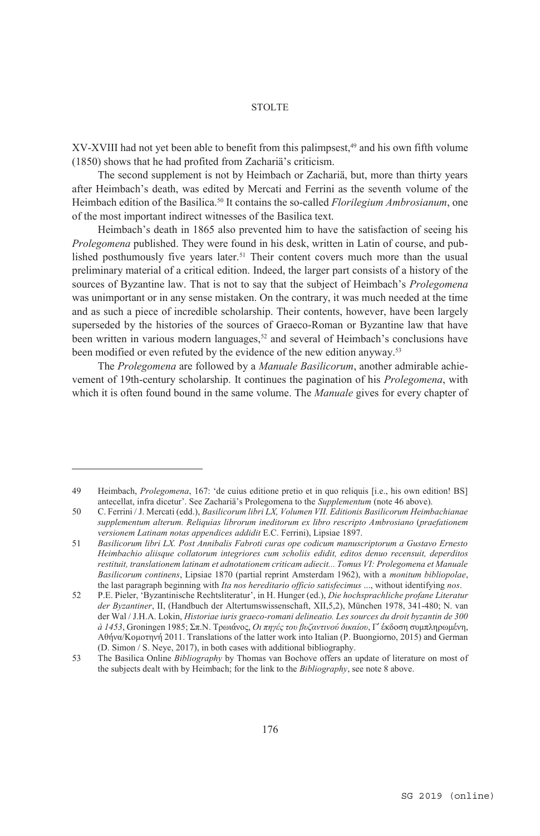XV-XVIII had not yet been able to benefit from this palimpsest,<sup>49</sup> and his own fifth volume (1850) shows that he had profited from Zachariä's criticism.

The second supplement is not by Heimbach or Zachariä, but, more than thirty years after Heimbach's death, was edited by Mercati and Ferrini as the seventh volume of the Heimbach edition of the Basilica.<sup>50</sup> It contains the so-called *Florilegium Ambrosianum*, one of the most important indirect witnesses of the Basilica text.

Heimbach's death in 1865 also prevented him to have the satisfaction of seeing his *Prolegomena* published. They were found in his desk, written in Latin of course, and published posthumously five years later.51 Their content covers much more than the usual preliminary material of a critical edition. Indeed, the larger part consists of a history of the sources of Byzantine law. That is not to say that the subject of Heimbach's *Prolegomena* was unimportant or in any sense mistaken. On the contrary, it was much needed at the time and as such a piece of incredible scholarship. Their contents, however, have been largely superseded by the histories of the sources of Graeco-Roman or Byzantine law that have been written in various modern languages, $52$  and several of Heimbach's conclusions have been modified or even refuted by the evidence of the new edition anyway.<sup>53</sup>

The *Prolegomena* are followed by a *Manuale Basilicorum*, another admirable achievement of 19th-century scholarship. It continues the pagination of his *Prolegomena*, with which it is often found bound in the same volume. The *Manuale* gives for every chapter of

<sup>49</sup> Heimbach, *Prolegomena*, 167: 'de cuius editione pretio et in quo reliquis [i.e., his own edition! BS] antecellat, infra dicetur'. See Zachariä's Prolegomena to the *Supplementum* (note 46 above).

<sup>50</sup> C. Ferrini / J. Mercati (edd.), *Basilicorum libri LX, Volumen VII. Editionis Basilicorum Heimbachianae supplementum alterum. Reliquias librorum ineditorum ex libro rescripto Ambrosiano* (*praefationem versionem Latinam notas appendices addidit* E.C. Ferrini), Lipsiae 1897.

<sup>51</sup> *Basilicorum libri LX. Post Annibalis Fabroti curas ope codicum manuscriptorum a Gustavo Ernesto Heimbachio aliisque collatorum integriores cum scholiis edidit, editos denuo recensuit, deperditos restituit, translationem latinam et adnotationem criticam adiecit... Tomus VI: Prolegomena et Manuale Basilicorum continens*, Lipsiae 1870 (partial reprint Amsterdam 1962), with a *monitum bibliopolae*, the last paragraph beginning with *Ita nos hereditario officio satisfecimus* ..., without identifying *nos*.

<sup>52</sup> P.E. Pieler, 'Byzantinische Rechtsliteratur', in H. Hunger (ed.), *Die hochsprachliche profane Literatur der Byzantiner*, II, (Handbuch der Altertumswissenschaft, XII,5,2), München 1978, 341-480; N. van der Wal / J.H.A. Lokin, *Historiae iuris graeco-romani delineatio. Les sources du droit byzantin de 300 à 1453*, Groningen 1985; Σπ.Ν. Τρωιάνος, *Οι πηγές του βυζαντινού δικαίου*, Γ´ έκδοση συμπληρωμένη, Αθήνα/Κομοτηνή 2011. Translations of the latter work into Italian (P. Buongiorno, 2015) and German (D. Simon / S. Neye, 2017), in both cases with additional bibliography.

<sup>53</sup> The Basilica Online *Bibliography* by Thomas van Bochove offers an update of literature on most of the subjects dealt with by Heimbach; for the link to the *Bibliography*, see note 8 above.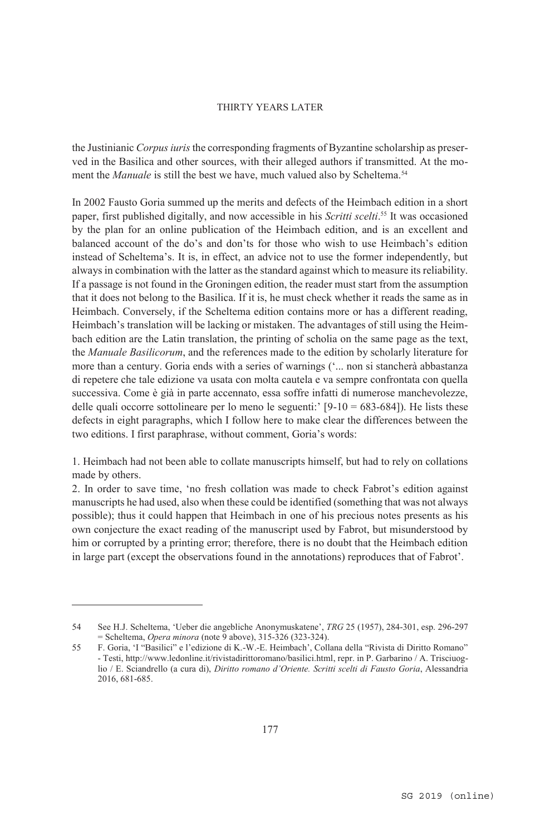the Justinianic *Corpus iuris* the corresponding fragments of Byzantine scholarship as preserved in the Basilica and other sources, with their alleged authors if transmitted. At the moment the *Manuale* is still the best we have, much valued also by Scheltema.<sup>54</sup>

In 2002 Fausto Goria summed up the merits and defects of the Heimbach edition in a short paper, first published digitally, and now accessible in his *Scritti scelti*. 55 It was occasioned by the plan for an online publication of the Heimbach edition, and is an excellent and balanced account of the do's and don'ts for those who wish to use Heimbach's edition instead of Scheltema's. It is, in effect, an advice not to use the former independently, but always in combination with the latter as the standard against which to measure its reliability. If a passage is not found in the Groningen edition, the reader must start from the assumption that it does not belong to the Basilica. If it is, he must check whether it reads the same as in Heimbach. Conversely, if the Scheltema edition contains more or has a different reading, Heimbach's translation will be lacking or mistaken. The advantages of still using the Heimbach edition are the Latin translation, the printing of scholia on the same page as the text, the *Manuale Basilicorum*, and the references made to the edition by scholarly literature for more than a century. Goria ends with a series of warnings ('... non si stancherà abbastanza di repetere che tale edizione va usata con molta cautela e va sempre confrontata con quella successiva. Come è già in parte accennato, essa soffre infatti di numerose manchevolezze, delle quali occorre sottolineare per lo meno le seguenti:  $[9-10 = 683-684]$ ). He lists these defects in eight paragraphs, which I follow here to make clear the differences between the two editions. I first paraphrase, without comment, Goria's words:

1. Heimbach had not been able to collate manuscripts himself, but had to rely on collations made by others.

2. In order to save time, 'no fresh collation was made to check Fabrot's edition against manuscripts he had used, also when these could be identified (something that was not always possible); thus it could happen that Heimbach in one of his precious notes presents as his own conjecture the exact reading of the manuscript used by Fabrot, but misunderstood by him or corrupted by a printing error; therefore, there is no doubt that the Heimbach edition in large part (except the observations found in the annotations) reproduces that of Fabrot'.

<sup>54</sup> See H.J. Scheltema, 'Ueber die angebliche Anonymuskatene', *TRG* 25 (1957), 284-301, esp. 296-297 = Scheltema, *Opera minora* (note 9 above), 315-326 (323-324).

<sup>55</sup> F. Goria, 'I "Basilici" e l'edizione di K.-W.-E. Heimbach', Collana della "Rivista di Diritto Romano" - Testi, http://www.ledonline.it/rivistadirittoromano/basilici.html, repr. in P. Garbarino / A. Trisciuoglio / E. Sciandrello (a cura di), *Diritto romano d'Oriente. Scritti scelti di Fausto Goria*, Alessandria 2016, 681-685.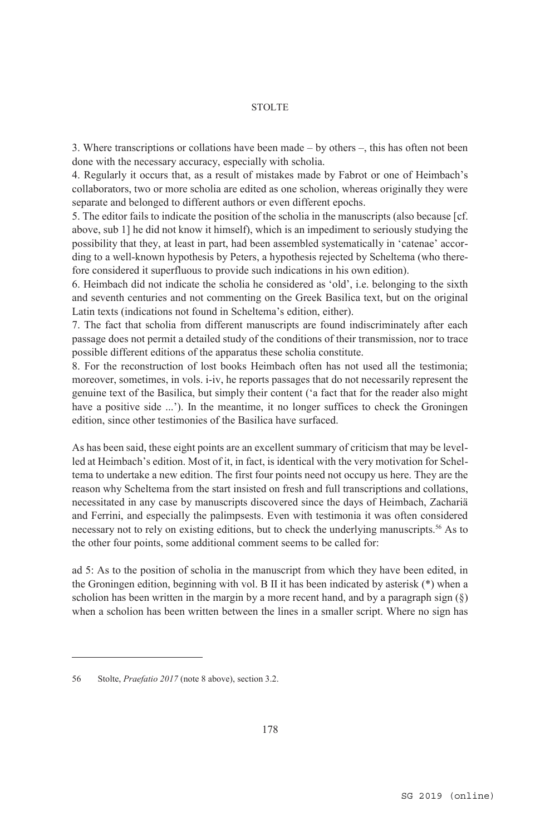3. Where transcriptions or collations have been made – by others –, this has often not been done with the necessary accuracy, especially with scholia.

4. Regularly it occurs that, as a result of mistakes made by Fabrot or one of Heimbach's collaborators, two or more scholia are edited as one scholion, whereas originally they were separate and belonged to different authors or even different epochs.

5. The editor fails to indicate the position of the scholia in the manuscripts (also because [cf. above, sub 1] he did not know it himself), which is an impediment to seriously studying the possibility that they, at least in part, had been assembled systematically in 'catenae' according to a well-known hypothesis by Peters, a hypothesis rejected by Scheltema (who therefore considered it superfluous to provide such indications in his own edition).

6. Heimbach did not indicate the scholia he considered as 'old', i.e. belonging to the sixth and seventh centuries and not commenting on the Greek Basilica text, but on the original Latin texts (indications not found in Scheltema's edition, either).

7. The fact that scholia from different manuscripts are found indiscriminately after each passage does not permit a detailed study of the conditions of their transmission, nor to trace possible different editions of the apparatus these scholia constitute.

8. For the reconstruction of lost books Heimbach often has not used all the testimonia; moreover, sometimes, in vols. i-iv, he reports passages that do not necessarily represent the genuine text of the Basilica, but simply their content ('a fact that for the reader also might have a positive side ...'). In the meantime, it no longer suffices to check the Groningen edition, since other testimonies of the Basilica have surfaced.

As has been said, these eight points are an excellent summary of criticism that may be levelled at Heimbach's edition. Most of it, in fact, is identical with the very motivation for Scheltema to undertake a new edition. The first four points need not occupy us here. They are the reason why Scheltema from the start insisted on fresh and full transcriptions and collations, necessitated in any case by manuscripts discovered since the days of Heimbach, Zachariä and Ferrini, and especially the palimpsests. Even with testimonia it was often considered necessary not to rely on existing editions, but to check the underlying manuscripts.56 As to the other four points, some additional comment seems to be called for:

ad 5: As to the position of scholia in the manuscript from which they have been edited, in the Groningen edition, beginning with vol. B II it has been indicated by asterisk (\*) when a scholion has been written in the margin by a more recent hand, and by a paragraph sign  $(\S)$ when a scholion has been written between the lines in a smaller script. Where no sign has

<sup>56</sup> Stolte, *Praefatio 2017* (note 8 above), section 3.2.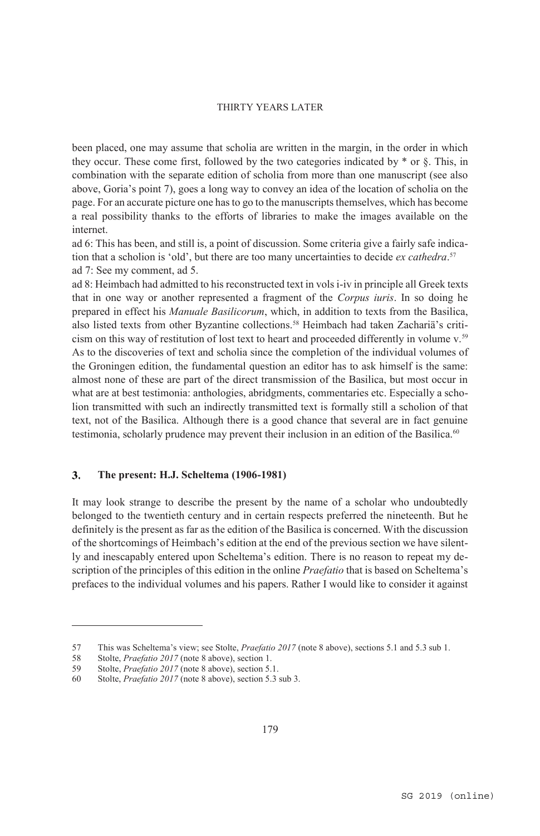been placed, one may assume that scholia are written in the margin, in the order in which they occur. These come first, followed by the two categories indicated by  $*$  or  $\S$ . This, in combination with the separate edition of scholia from more than one manuscript (see also above, Goria's point 7), goes a long way to convey an idea of the location of scholia on the page. For an accurate picture one has to go to the manuscripts themselves, which has become a real possibility thanks to the efforts of libraries to make the images available on the internet.

ad 6: This has been, and still is, a point of discussion. Some criteria give a fairly safe indication that a scholion is 'old', but there are too many uncertainties to decide *ex cathedra*. 57 ad 7: See my comment, ad 5.

ad 8: Heimbach had admitted to his reconstructed text in vols i-iv in principle all Greek texts that in one way or another represented a fragment of the *Corpus iuris*. In so doing he prepared in effect his *Manuale Basilicorum*, which, in addition to texts from the Basilica, also listed texts from other Byzantine collections.58 Heimbach had taken Zachariä's criticism on this way of restitution of lost text to heart and proceeded differently in volume v.59 As to the discoveries of text and scholia since the completion of the individual volumes of the Groningen edition, the fundamental question an editor has to ask himself is the same: almost none of these are part of the direct transmission of the Basilica, but most occur in what are at best testimonia: anthologies, abridgments, commentaries etc. Especially a scholion transmitted with such an indirectly transmitted text is formally still a scholion of that text, not of the Basilica. Although there is a good chance that several are in fact genuine testimonia, scholarly prudence may prevent their inclusion in an edition of the Basilica.<sup>60</sup>

#### $\mathbf{3}$ . **The present: H.J. Scheltema (1906-1981)**

It may look strange to describe the present by the name of a scholar who undoubtedly belonged to the twentieth century and in certain respects preferred the nineteenth. But he definitely is the present as far as the edition of the Basilica is concerned. With the discussion of the shortcomings of Heimbach's edition at the end of the previous section we have silently and inescapably entered upon Scheltema's edition. There is no reason to repeat my description of the principles of this edition in the online *Praefatio* that is based on Scheltema's prefaces to the individual volumes and his papers. Rather I would like to consider it against

<sup>57</sup> This was Scheltema's view; see Stolte, *Praefatio 2017* (note 8 above), sections 5.1 and 5.3 sub 1.<br>58 Stolte, *Praefatio 2017* (note 8 above), section 1.

Stolte, *Praefatio 2017* (note 8 above), section 1.

<sup>59</sup> Stolte, *Praefatio 2017* (note 8 above), section 5.1.

<sup>60</sup> Stolte, *Praefatio 2017* (note 8 above), section 5.3 sub 3.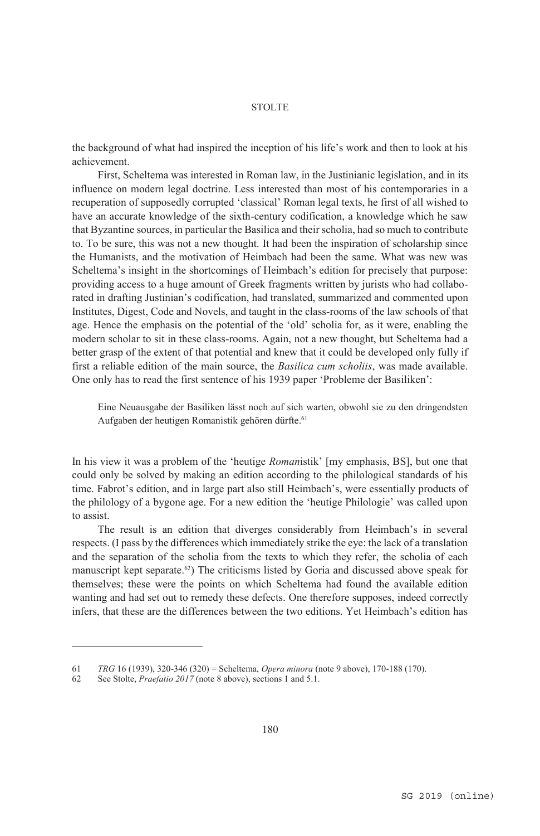the background of what had inspired the inception of his life's work and then to look at his achievement.

First, Scheltema was interested in Roman law, in the Justinianic legislation, and in its influence on modern legal doctrine. Less interested than most of his contemporaries in a recuperation of supposedly corrupted 'classical' Roman legal texts, he first of all wished to have an accurate knowledge of the sixth-century codification, a knowledge which he saw that Byzantine sources, in particular the Basilica and their scholia, had so much to contribute to. To be sure, this was not a new thought. It had been the inspiration of scholarship since the Humanists, and the motivation of Heimbach had been the same. What was new was Scheltema's insight in the shortcomings of Heimbach's edition for precisely that purpose: providing access to a huge amount of Greek fragments written by jurists who had collaborated in drafting Justinian's codification, had translated, summarized and commented upon Institutes, Digest, Code and Novels, and taught in the class-rooms of the law schools of that age. Hence the emphasis on the potential of the 'old' scholia for, as it were, enabling the modern scholar to sit in these class-rooms. Again, not a new thought, but Scheltema had a better grasp of the extent of that potential and knew that it could be developed only fully if first a reliable edition of the main source, the *Basilica cum scholiis*, was made available. One only has to read the first sentence of his 1939 paper 'Probleme der Basiliken':

Eine Neuausgabe der Basiliken lässt noch auf sich warten, obwohl sie zu den dringendsten Aufgaben der heutigen Romanistik gehören dürfte.<sup>61</sup>

In his view it was a problem of the 'heutige *Roman*istik' [my emphasis, BS], but one that could only be solved by making an edition according to the philological standards of his time. Fabrot's edition, and in large part also still Heimbach's, were essentially products of the philology of a bygone age. For a new edition the 'heutige Philologie' was called upon to assist.

The result is an edition that diverges considerably from Heimbach's in several respects. (I pass by the differences which immediately strike the eye: the lack of a translation and the separation of the scholia from the texts to which they refer, the scholia of each manuscript kept separate.62) The criticisms listed by Goria and discussed above speak for themselves; these were the points on which Scheltema had found the available edition wanting and had set out to remedy these defects. One therefore supposes, indeed correctly infers, that these are the differences between the two editions. Yet Heimbach's edition has

<sup>61</sup> *TRG* 16 (1939), 320-346 (320) = Scheltema, *Opera minora* (note 9 above), 170-188 (170).

<sup>62</sup> See Stolte, *Praefatio 2017* (note 8 above), sections 1 and 5.1.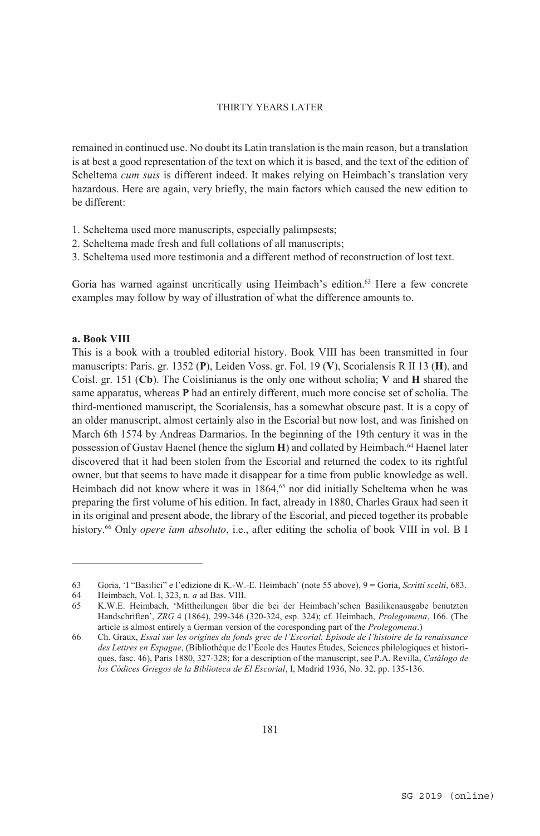remained in continued use. No doubt its Latin translation is the main reason, but a translation is at best a good representation of the text on which it is based, and the text of the edition of Scheltema *cum suis* is different indeed. It makes relying on Heimbach's translation very hazardous. Here are again, very briefly, the main factors which caused the new edition to be different:

- 1. Scheltema used more manuscripts, especially palimpsests;
- 2. Scheltema made fresh and full collations of all manuscripts;
- 3. Scheltema used more testimonia and a different method of reconstruction of lost text.

Goria has warned against uncritically using Heimbach's edition.<sup>63</sup> Here a few concrete examples may follow by way of illustration of what the difference amounts to.

#### **a. Book VIII**

 $\overline{a}$ 

This is a book with a troubled editorial history. Book VIII has been transmitted in four manuscripts: Paris. gr. 1352 (**P**), Leiden Voss. gr. Fol. 19 (**V**), Scorialensis R II 13 (**H**), and Coisl. gr. 151 (**Cb**). The Coislinianus is the only one without scholia; **V** and **H** shared the same apparatus, whereas **P** had an entirely different, much more concise set of scholia. The third-mentioned manuscript, the Scorialensis, has a somewhat obscure past. It is a copy of an older manuscript, almost certainly also in the Escorial but now lost, and was finished on March 6th 1574 by Andreas Darmarios. In the beginning of the 19th century it was in the possession of Gustav Haenel (hence the siglum **H**) and collated by Heimbach.64 Haenel later discovered that it had been stolen from the Escorial and returned the codex to its rightful owner, but that seems to have made it disappear for a time from public knowledge as well. Heimbach did not know where it was in 1864,<sup>65</sup> nor did initially Scheltema when he was preparing the first volume of his edition. In fact, already in 1880, Charles Graux had seen it in its original and present abode, the library of the Escorial, and pieced together its probable history.<sup>66</sup> Only *opere iam absoluto*, i.e., after editing the scholia of book VIII in vol. B I

<sup>63</sup> Goria, 'I "Basilici" e l'edizione di K.-W.-E. Heimbach' (note 55 above), 9 = Goria, *Scritti scelti*, 683.

<sup>64</sup> Heimbach, Vol. I, 323, n. *a* ad Bas. VIII.

<sup>65</sup> K.W.E. Heimbach, 'Mittheilungen über die bei der Heimbach'schen Basilikenausgabe benutzten Handschriften', *ZRG* 4 (1864), 299-346 (320-324, esp. 324); cf. Heimbach, *Prolegomena*, 166. (The article is almost entirely a German version of the coresponding part of the *Prolegomena*.)

<sup>66</sup> Ch. Graux, *Essai sur les origines du fonds grec de l'Escorial. Épisode de l'histoire de la renaissance des Lettres en Espagne*, (Bibliothèque de l'École des Hautes Études, Sciences philologiques et historiques, fasc. 46), Paris 1880, 327-328; for a description of the manuscript, see P.A. Revilla, *Catálogo de los Códices Griegos de la Biblioteca de El Escorial*, I, Madrid 1936, No. 32, pp. 135-136.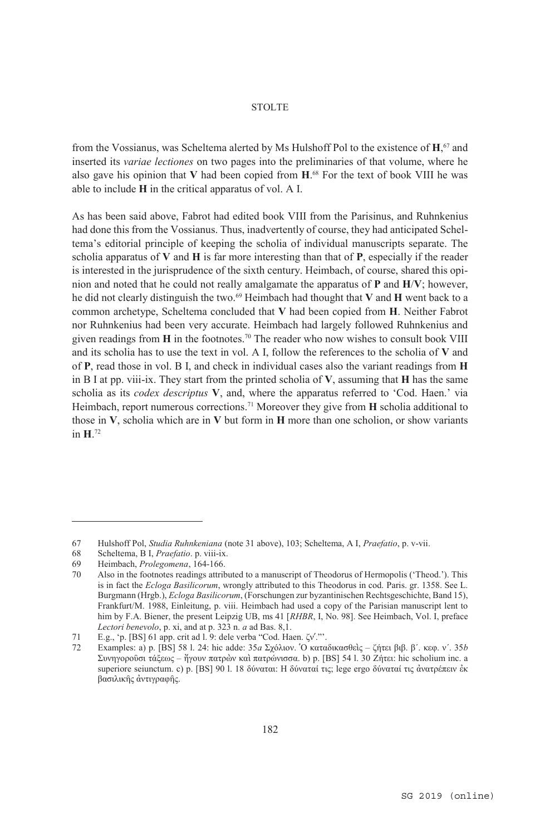from the Vossianus, was Scheltema alerted by Ms Hulshoff Pol to the existence of **H**, 67 and inserted its *variae lectiones* on two pages into the preliminaries of that volume, where he also gave his opinion that **V** had been copied from **H**. 68 For the text of book VIII he was able to include **H** in the critical apparatus of vol. A I.

As has been said above, Fabrot had edited book VIII from the Parisinus, and Ruhnkenius had done this from the Vossianus. Thus, inadvertently of course, they had anticipated Scheltema's editorial principle of keeping the scholia of individual manuscripts separate. The scholia apparatus of **V** and **H** is far more interesting than that of **P**, especially if the reader is interested in the jurisprudence of the sixth century. Heimbach, of course, shared this opinion and noted that he could not really amalgamate the apparatus of **P** and **H**/**V**; however, he did not clearly distinguish the two.69 Heimbach had thought that **V** and **H** went back to a common archetype, Scheltema concluded that **V** had been copied from **H**. Neither Fabrot nor Ruhnkenius had been very accurate. Heimbach had largely followed Ruhnkenius and given readings from **H** in the footnotes.70 The reader who now wishes to consult book VIII and its scholia has to use the text in vol. A I, follow the references to the scholia of **V** and of **P**, read those in vol. B I, and check in individual cases also the variant readings from **H** in B I at pp. viii-ix. They start from the printed scholia of **V**, assuming that **H** has the same scholia as its *codex descriptus* **V**, and, where the apparatus referred to 'Cod. Haen.' via Heimbach, report numerous corrections.71 Moreover they give from **H** scholia additional to those in **V**, scholia which are in **V** but form in **H** more than one scholion, or show variants in **H**. 72

<sup>67</sup> Hulshoff Pol, *Studia Ruhnkeniana* (note 31 above), 103; Scheltema, A I, *Praefatio*, p. v-vii.

<sup>68</sup> Scheltema, B I, *Praefatio*. p. viii-ix.

<sup>69</sup> Heimbach, *Prolegomena*, 164-166.

<sup>70</sup> Also in the footnotes readings attributed to a manuscript of Theodorus of Hermopolis ('Theod.'). This is in fact the *Ecloga Basilicorum*, wrongly attributed to this Theodorus in cod. Paris. gr. 1358. See L. Burgmann (Hrgb.), *Ecloga Basilicorum*, (Forschungen zur byzantinischen Rechtsgeschichte, Band 15), Frankfurt/M. 1988, Einleitung, p. viii. Heimbach had used a copy of the Parisian manuscript lent to him by F.A. Biener, the present Leipzig UB, ms 41 [*RHBR*, I, No. 98]. See Heimbach, Vol. I, preface *Lectori benevolo*, p. xi, and at p. 323 n. *a* ad Bas. 8,1.

<sup>71</sup> E.g., 'p. [BS] 61 app. crit ad l. 9: dele verba "Cod. Haen. ζν'."'.<br>72 Examples: a) p. [BS] 58 L. 24: hic adde: 35*α* Σγόλιον. 'Ο κατα

<sup>72</sup> Examples: a) p. [BS] 58 l. 24: hic adde: 35*a* Σχόλιον. ῾Ο καταδικασθεὶς – ζήτει βιβ. β´. κεφ. ν´. 35*b* Συνηγοροῦσι τάξεως – ἤγουν πατρὼν καὶ πατρώνισσα. b) p. [BS] 54 l. 30 Ζήτει: hic scholium inc. a superiore seiunctum. c) p. [BS] 90 l. 18 δύναται: Η δύναταί τις; lege ergo δύναταί τις ἀνατρέπειν ἐκ βασιλικῆς ἀντιγραφῆς.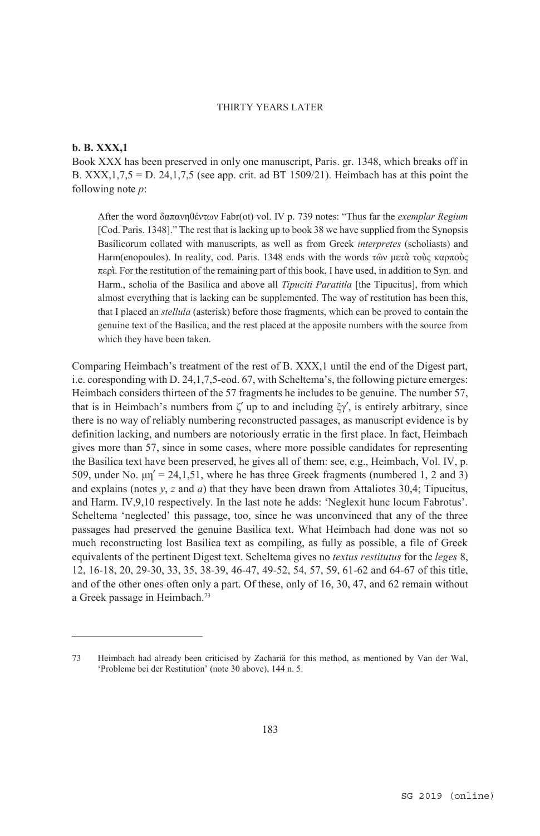#### **b. B. XXX,1**

 $\overline{a}$ 

Book XXX has been preserved in only one manuscript, Paris. gr. 1348, which breaks off in B. XXX,  $1,7,5 = D$ . 24,  $1,7,5$  (see app. crit. ad BT 1509/21). Heimbach has at this point the following note *p*:

After the word δαπανηθέντων Fabr(ot) vol. IV p. 739 notes: "Thus far the *exemplar Regium* [Cod. Paris. 1348]." The rest that is lacking up to book 38 we have supplied from the Synopsis Basilicorum collated with manuscripts, as well as from Greek *interpretes* (scholiasts) and Harm(enopoulos). In reality, cod. Paris. 1348 ends with the words τῶν μετὰ τοὺς καρποὺς περὶ. For the restitution of the remaining part of this book, I have used, in addition to Syn. and Harm., scholia of the Basilica and above all *Tipuciti Paratitla* [the Tipucitus], from which almost everything that is lacking can be supplemented. The way of restitution has been this, that I placed an *stellula* (asterisk) before those fragments, which can be proved to contain the genuine text of the Basilica, and the rest placed at the apposite numbers with the source from which they have been taken.

Comparing Heimbach's treatment of the rest of B. XXX,1 until the end of the Digest part, i.e. coresponding with D. 24,1,7,5-eod. 67, with Scheltema's, the following picture emerges: Heimbach considers thirteen of the 57 fragments he includes to be genuine. The number 57, that is in Heimbach's numbers from  $\zeta'$  up to and including  $\zeta\gamma'$ , is entirely arbitrary, since there is no way of reliably numbering reconstructed passages, as manuscript evidence is by definition lacking, and numbers are notoriously erratic in the first place. In fact, Heimbach gives more than 57, since in some cases, where more possible candidates for representing the Basilica text have been preserved, he gives all of them: see, e.g., Heimbach, Vol. IV, p. 509, under No.  $\mu$ n<sup>'</sup> = 24,1,51, where he has three Greek fragments (numbered 1, 2 and 3) and explains (notes  $y$ ,  $z$  and  $a$ ) that they have been drawn from Attaliotes 30,4; Tipucitus, and Harm. IV,9,10 respectively. In the last note he adds: 'Neglexit hunc locum Fabrotus'. Scheltema 'neglected' this passage, too, since he was unconvinced that any of the three passages had preserved the genuine Basilica text. What Heimbach had done was not so much reconstructing lost Basilica text as compiling, as fully as possible, a file of Greek equivalents of the pertinent Digest text. Scheltema gives no *textus restitutus* for the *leges* 8, 12, 16-18, 20, 29-30, 33, 35, 38-39, 46-47, 49-52, 54, 57, 59, 61-62 and 64-67 of this title, and of the other ones often only a part. Of these, only of 16, 30, 47, and 62 remain without a Greek passage in Heimbach.73

<sup>73</sup> Heimbach had already been criticised by Zachariä for this method, as mentioned by Van der Wal, 'Probleme bei der Restitution' (note 30 above), 144 n. 5.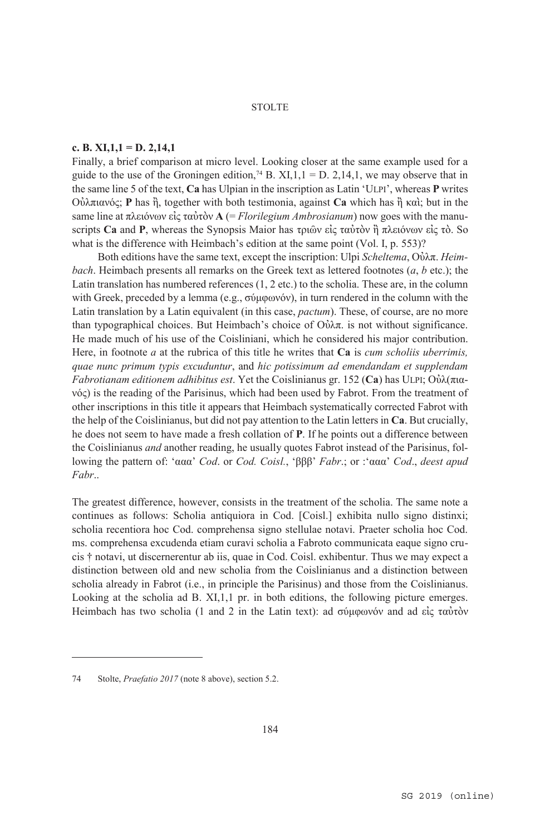#### **c. B. XI,1,1 = D. 2,14,1**

Finally, a brief comparison at micro level. Looking closer at the same example used for a guide to the use of the Groningen edition,<sup>74</sup> B. XI,1,1 = D. 2,14,1, we may observe that in the same line 5 of the text, **Ca** has Ulpian in the inscription as Latin 'ULPI', whereas **P** writes Οὐλπιανός; **P** has ἢ, together with both testimonia, against **Ca** which has ἢ καὶ; but in the same line at πλειόνων εἰς ταὐτὸν **A** (= *Florilegium Ambrosianum*) now goes with the manuscripts **Ca** and **P**, whereas the Synopsis Maior has τριῶν εἰς ταὐτὸν ἢ πλειόνων εἰς τὸ. So what is the difference with Heimbach's edition at the same point (Vol. I, p. 553)?

Both editions have the same text, except the inscription: Ulpi *Scheltema*, Οὐλπ. *Heimbach*. Heimbach presents all remarks on the Greek text as lettered footnotes (*a*, *b* etc.); the Latin translation has numbered references  $(1, 2 \text{ etc.})$  to the scholia. These are, in the column with Greek, preceded by a lemma (e.g., σύμφωνόν), in turn rendered in the column with the Latin translation by a Latin equivalent (in this case, *pactum*). These, of course, are no more than typographical choices. But Heimbach's choice of Ούλπ. is not without significance. He made much of his use of the Coisliniani, which he considered his major contribution. Here, in footnote *a* at the rubrica of this title he writes that **Ca** is *cum scholiis uberrimis, quae nunc primum typis excuduntur*, and *hic potissimum ad emendandam et supplendam Fabrotianam editionem adhibitus est*. Yet the Coislinianus gr. 152 (**Ca**) has ULPI; Οὐλ(πιανός) is the reading of the Parisinus, which had been used by Fabrot. From the treatment of other inscriptions in this title it appears that Heimbach systematically corrected Fabrot with the help of the Coislinianus, but did not pay attention to the Latin letters in **Ca**. But crucially, he does not seem to have made a fresh collation of **P**. If he points out a difference between the Coislinianus *and* another reading, he usually quotes Fabrot instead of the Parisinus, following the pattern of: 'ααα' *Cod*. or *Cod. Coisl.*, 'βββ' *Fabr*.; or :'ααα' *Cod*., *deest apud Fabr*..

The greatest difference, however, consists in the treatment of the scholia. The same note a continues as follows: Scholia antiquiora in Cod. [Coisl.] exhibita nullo signo distinxi; scholia recentiora hoc Cod. comprehensa signo stellulae notavi. Praeter scholia hoc Cod. ms. comprehensa excudenda etiam curavi scholia a Fabroto communicata eaque signo crucis † notavi, ut discernerentur ab iis, quae in Cod. Coisl. exhibentur. Thus we may expect a distinction between old and new scholia from the Coislinianus and a distinction between scholia already in Fabrot (i.e., in principle the Parisinus) and those from the Coislinianus. Looking at the scholia ad B. XI,1,1 pr. in both editions, the following picture emerges. Heimbach has two scholia (1 and 2 in the Latin text): ad σύμφωνόν and ad είς ταὐτὸν

<sup>74</sup> Stolte, *Praefatio 2017* (note 8 above), section 5.2.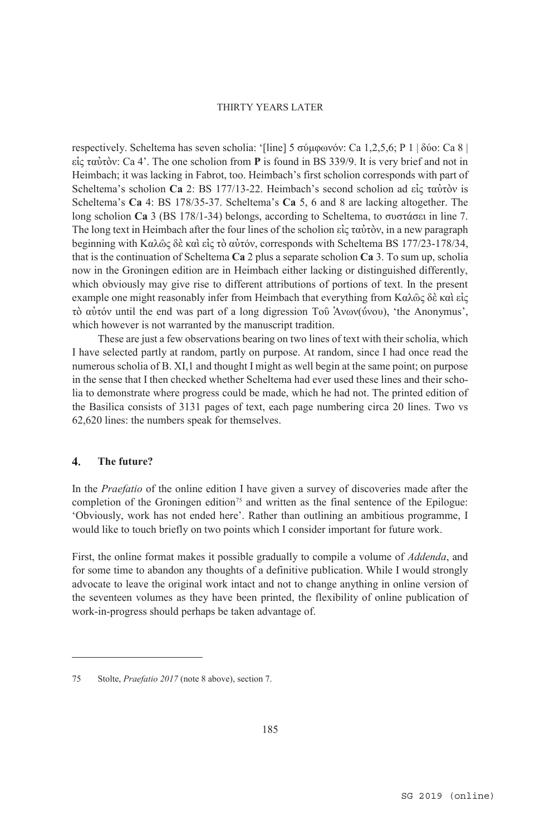respectively. Scheltema has seven scholia: '[line] 5 σύμφωνόν: Ca 1,2,5,6; P 1 | δύο: Ca 8 | εἰς ταὐτὸν: Ca 4'. The one scholion from **P** is found in BS 339/9. It is very brief and not in Heimbach; it was lacking in Fabrot, too. Heimbach's first scholion corresponds with part of Scheltema's scholion **Ca** 2: BS 177/13-22. Heimbach's second scholion ad εἰς ταὐτὸν is Scheltema's **Ca** 4: BS 178/35-37. Scheltema's **Ca** 5, 6 and 8 are lacking altogether. The long scholion **Ca** 3 (BS 178/1-34) belongs, according to Scheltema, to συστάσει in line 7. The long text in Heimbach after the four lines of the scholion εἰς ταὐτὸν, in a new paragraph beginning with Καλῶς δὲ καὶ εἰς τὸ αὐτόν, corresponds with Scheltema BS 177/23-178/34, that is the continuation of Scheltema **Ca** 2 plus a separate scholion **Ca** 3. To sum up, scholia now in the Groningen edition are in Heimbach either lacking or distinguished differently, which obviously may give rise to different attributions of portions of text. In the present example one might reasonably infer from Heimbach that everything from Καλῶς δὲ καὶ εἰς τὸ αὐτόν until the end was part of a long digression Τοῦ Ἀνων(ύνου), 'the Anonymus', which however is not warranted by the manuscript tradition.

These are just a few observations bearing on two lines of text with their scholia, which I have selected partly at random, partly on purpose. At random, since I had once read the numerous scholia of B. XI,1 and thought I might as well begin at the same point; on purpose in the sense that I then checked whether Scheltema had ever used these lines and their scholia to demonstrate where progress could be made, which he had not. The printed edition of the Basilica consists of 3131 pages of text, each page numbering circa 20 lines. Two vs 62,620 lines: the numbers speak for themselves.

#### $\overline{4}$ . **The future?**

 $\overline{a}$ 

In the *Praefatio* of the online edition I have given a survey of discoveries made after the completion of the Groningen edition<sup>75</sup> and written as the final sentence of the Epilogue: 'Obviously, work has not ended here'. Rather than outlining an ambitious programme, I would like to touch briefly on two points which I consider important for future work.

First, the online format makes it possible gradually to compile a volume of *Addenda*, and for some time to abandon any thoughts of a definitive publication. While I would strongly advocate to leave the original work intact and not to change anything in online version of the seventeen volumes as they have been printed, the flexibility of online publication of work-in-progress should perhaps be taken advantage of.

<sup>75</sup> Stolte, *Praefatio 2017* (note 8 above), section 7.